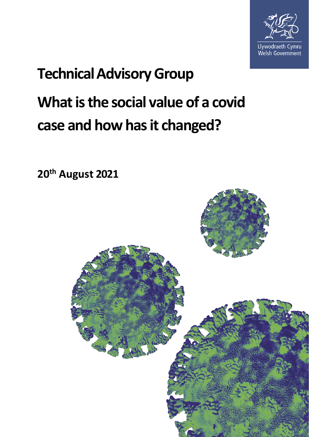

# **Technical Advisory Group What is the social value of a covid case and how has it changed?**

**20th August 2021**

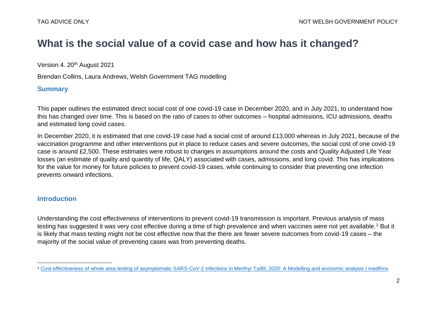# **What is the social value of a covid case and how has it changed?**

Version 4. 20<sup>th</sup> August 2021

Brendan Collins, Laura Andrews, Welsh Government TAG modelling

### **Summary**

This paper outlines the estimated direct social cost of one covid-19 case in December 2020, and in July 2021, to understand how this has changed over time. This is based on the ratio of cases to other outcomes – hospital admissions, ICU admissions, deaths and estimated long covid cases.

In December 2020, it is estimated that one covid-19 case had a social cost of around £13,000 whereas in July 2021, because of the vaccination programme and other interventions put in place to reduce cases and severe outcomes, the social cost of one covid-19 case is around £2,500. These estimates were robust to changes in assumptions around the costs and Quality Adjusted Life Year losses (an estimate of quality and quantity of life; QALY) associated with cases, admissions, and long covid. This has implications for the value for money for future policies to prevent covid-19 cases, while continuing to consider that preventing one infection prevents onward infections.

#### **Introduction**

Understanding the cost effectiveness of interventions to prevent covid-19 transmission is important. Previous analysis of mass testing has suggested it was very cost effective during a time of high prevalence and when vaccines were not yet available.<sup>1</sup> But it is likely that mass testing might not be cost effective now that the there are fewer severe outcomes from covid-19 cases – the majority of the social value of preventing cases was from preventing deaths.

 $\overline{a}$ <sup>1</sup> [Cost-effectiveness of whole area testing of asymptomatic SARS-CoV-2 infections in Merthyr Tydfil, 2020: A Modelling and economic analysis | medRxiv](https://www.medrxiv.org/content/10.1101/2021.05.10.21256816v1)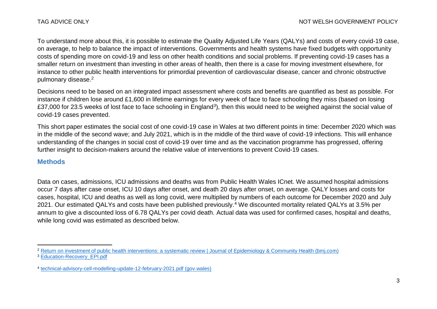To understand more about this, it is possible to estimate the Quality Adjusted Life Years (QALYs) and costs of every covid-19 case, on average, to help to balance the impact of interventions. Governments and health systems have fixed budgets with opportunity costs of spending more on covid-19 and less on other health conditions and social problems. If preventing covid-19 cases has a smaller return on investment than investing in other areas of health, then there is a case for moving investment elsewhere, for instance to other public health interventions for primordial prevention of cardiovascular disease, cancer and chronic obstructive pulmonary disease. 2

Decisions need to be based on an integrated impact assessment where costs and benefits are quantified as best as possible. For instance if children lose around £1,600 in lifetime earnings for every week of face to face schooling they miss (based on losing £37,000 for 23.5 weeks of lost face to face schooling in England<sup>3</sup>), then this would need to be weighed against the social value of covid-19 cases prevented.

This short paper estimates the social cost of one covid-19 case in Wales at two different points in time: December 2020 which was in the middle of the second wave; and July 2021, which is in the middle of the third wave of covid-19 infections. This will enhance understanding of the changes in social cost of covid-19 over time and as the vaccination programme has progressed, offering further insight to decision-makers around the relative value of interventions to prevent Covid-19 cases.

#### **Methods**

Data on cases, admissions, ICU admissions and deaths was from Public Health Wales ICnet. We assumed hospital admissions occur 7 days after case onset, ICU 10 days after onset, and death 20 days after onset, on average. QALY losses and costs for cases, hospital, ICU and deaths as well as long covid, were multiplied by numbers of each outcome for December 2020 and July 2021. Our estimated QALYs and costs have been published previously.<sup>4</sup> We discounted mortality related QALYs at 3.5% per annum to give a discounted loss of 6.78 QALYs per covid death. Actual data was used for confirmed cases, hospital and deaths, while long covid was estimated as described below.

 $\overline{a}$ <sup>2</sup> [Return on investment of public health interventions: a systematic review | Journal of Epidemiology & Community Health \(bmj.com\)](https://jech.bmj.com/content/71/8/827) <sup>3</sup> [Education-Recovery\\_EPI.pdf](https://epi.org.uk/wp-content/uploads/2021/05/Education-Recovery_EPI.pdf)

<sup>4</sup> [technical-advisory-cell-modelling-update-12-february-2021.pdf \(gov.wales\)](https://gov.wales/sites/default/files/publications/2021-03/technical-advisory-cell-modelling-update-12-february-2021.pdf)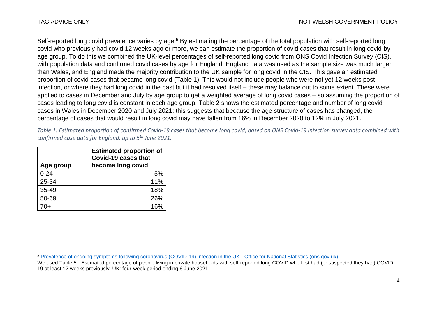Self-reported long covid prevalence varies by age.<sup>5</sup> By estimating the percentage of the total population with self-reported long covid who previously had covid 12 weeks ago or more, we can estimate the proportion of covid cases that result in long covid by age group. To do this we combined the UK-level percentages of self-reported long covid from ONS Covid Infection Survey (CIS), with population data and confirmed covid cases by age for England. England data was used as the sample size was much larger than Wales, and England made the majority contribution to the UK sample for long covid in the CIS. This gave an estimated proportion of covid cases that became long covid [\(Table 1\)](#page-3-0). This would not include people who were not yet 12 weeks post infection, or where they had long covid in the past but it had resolved itself – these may balance out to some extent. These were applied to cases in December and July by age group to get a weighted average of long covid cases – so assuming the proportion of cases leading to long covid is constant in each age group. Table 2 shows the estimated percentage and number of long covid cases in Wales in December 2020 and July 2021; this suggests that because the age structure of cases has changed, the percentage of cases that would result in long covid may have fallen from 16% in December 2020 to 12% in July 2021.

<span id="page-3-0"></span>*Table 1. Estimated proportion of confirmed Covid-19 cases that become long covid, based on ONS Covid-19 infection survey data combined with confirmed case data for England, up to 5th June 2021.*

| Age group | <b>Estimated proportion of</b><br>Covid-19 cases that<br>become long covid |  |  |  |  |
|-----------|----------------------------------------------------------------------------|--|--|--|--|
| $0 - 24$  | 5%                                                                         |  |  |  |  |
| 25-34     | 11%                                                                        |  |  |  |  |
| 35-49     | 18%                                                                        |  |  |  |  |
| 50-69     | 26%                                                                        |  |  |  |  |
|           |                                                                            |  |  |  |  |

 $\overline{\phantom{a}}$ <sup>5</sup> [Prevalence of ongoing symptoms following coronavirus \(COVID-19\) infection in the UK -](https://www.ons.gov.uk/peoplepopulationandcommunity/healthandsocialcare/conditionsanddiseases/bulletins/prevalenceofongoingsymptomsfollowingcoronaviruscovid19infectionintheuk/1july2021) Office for National Statistics (ons.gov.uk)

We used Table 5 - Estimated percentage of people living in private households with self-reported long COVID who first had (or suspected they had) COVID-19 at least 12 weeks previously, UK: four-week period ending 6 June 2021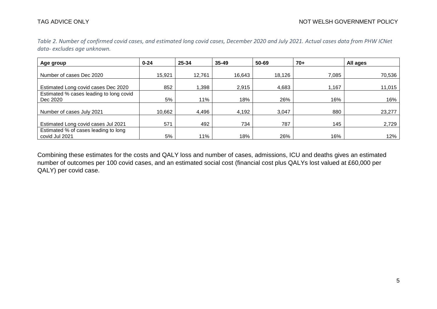| Age group                               | $0 - 24$ | 25-34  | $35 - 49$ | 50-69  | 70+   | All ages |
|-----------------------------------------|----------|--------|-----------|--------|-------|----------|
|                                         |          |        |           |        |       |          |
| Number of cases Dec 2020                | 15,921   | 12,761 | 16,643    | 18,126 | 7,085 | 70,536   |
| Estimated Long covid cases Dec 2020     | 852      | 886,1  | 2,915     | 4,683  | 1,167 | 11,015   |
| Estimated % cases leading to long covid |          |        |           |        |       |          |
| Dec 2020                                | 5%       | 11%    | 18%       | 26%    | 16%   | 16%      |
| Number of cases July 2021               | 10,662   | 4,496  | 4,192     | 3,047  | 880   | 23,277   |
|                                         |          |        |           |        |       |          |
| Estimated Long covid cases Jul 2021     | 571      | 492    | 734       | 787    | 145   | 2,729    |
| Estimated % of cases leading to long    |          |        |           |        |       |          |
| covid Jul 2021                          | 5%       | 11%    | 18%       | 26%    | 16%   | 12%      |

*Table 2. Number of confirmed covid cases, and estimated long covid cases, December 2020 and July 2021. Actual cases data from PHW ICNet data- excludes age unknown.* 

Combining these estimates for the costs and QALY loss and number of cases, admissions, ICU and deaths gives an estimated number of outcomes per 100 covid cases, and an estimated social cost (financial cost plus QALYs lost valued at £60,000 per QALY) per covid case.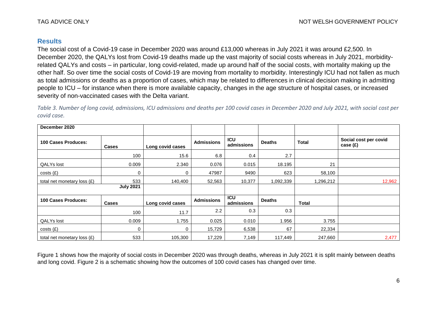#### **Results**

The social cost of a Covid-19 case in December 2020 was around £13,000 whereas in July 2021 it was around £2,500. In December 2020, the QALYs lost from Covid-19 deaths made up the vast majority of social costs whereas in July 2021, morbidityrelated QALYs and costs – in particular, long covid-related, made up around half of the social costs, with mortality making up the other half. So over time the social costs of Covid-19 are moving from mortality to morbidity. Interestingly ICU had not fallen as much as total admissions or deaths as a proportion of cases, which may be related to differences in clinical decision making in admitting people to ICU – for instance when there is more available capacity, changes in the age structure of hospital cases, or increased severity of non-vaccinated cases with the Delta variant.

*Table 3. Number of long covid, admissions, ICU admissions and deaths per 100 covid cases in December 2020 and July 2021, with social cost per covid case.* 

| December 2020               |                  |                  |                   |                          |               |              |                                     |
|-----------------------------|------------------|------------------|-------------------|--------------------------|---------------|--------------|-------------------------------------|
| 100 Cases Produces:         | <b>Cases</b>     | Long covid cases | <b>Admissions</b> | <b>ICU</b><br>admissions | <b>Deaths</b> | <b>Total</b> | Social cost per covid<br>case $(E)$ |
|                             | 100              | 15.6             | 6.8               | 0.4                      | 2.7           |              |                                     |
| <b>QALYs lost</b>           | 0.009            | 2.340            | 0.076             | 0.015                    | 18.195        | 21           |                                     |
| costs(f)                    | $\Omega$         |                  | 47987             | 9490                     | 623           | 58,100       |                                     |
| total net monetary loss (£) | 533              | 140,400          | 52,563            | 10,377                   | 1,092,339     | 1,296,212    | 12,962                              |
|                             | <b>July 2021</b> |                  |                   |                          |               |              |                                     |
| 100 Cases Produces:         | <b>Cases</b>     | Long covid cases | <b>Admissions</b> | <b>ICU</b><br>admissions | <b>Deaths</b> | <b>Total</b> |                                     |
|                             | 100              | 11.7             | 2.2               | 0.3                      | 0.3           |              |                                     |
| <b>QALYs lost</b>           | 0.009            | 1.755            | 0.025             | 0.010                    | 1.956         | 3.755        |                                     |
| costs(f)                    | 0                |                  | 15,729            | 6,538                    | 67            | 22,334       |                                     |
| total net monetary loss (£) | 533              | 105,300          | 17,229            | 7,149                    | 117,449       | 247,660      | 2,477                               |

[Figure 1](#page-6-0) shows how the majority of social costs in December 2020 was through deaths, whereas in July 2021 it is split mainly between deaths and long covid. [Figure 2](#page-7-0) is a schematic showing how the outcomes of 100 covid cases has changed over time.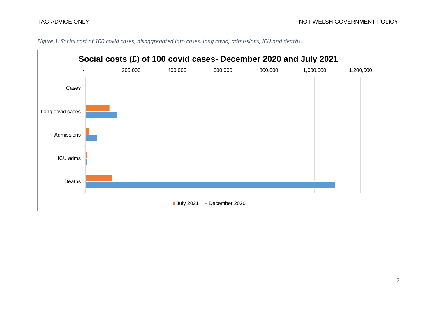

<span id="page-6-0"></span>*Figure 1. Social cost of 100 covid cases, disaggregated into cases, long covid, admissions, ICU and deaths.*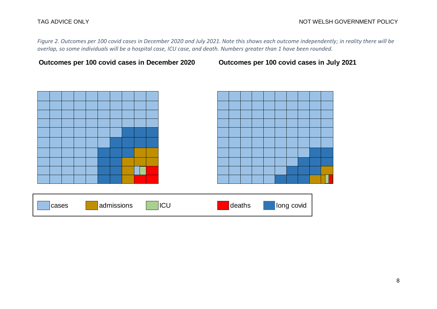<span id="page-7-0"></span>*Figure 2. Outcomes per 100 covid cases in December 2020 and July 2021. Note this shows each outcome independently; in reality there will be overlap, so some individuals will be a hospital case, ICU case, and death. Numbers greater than 1 have been rounded.* 

**Outcomes per 100 covid cases in December 2020 Outcomes per 100 covid cases in July 2021**





| cases | admissions | 'ICL | deaths | long covid |
|-------|------------|------|--------|------------|
|       |            |      |        |            |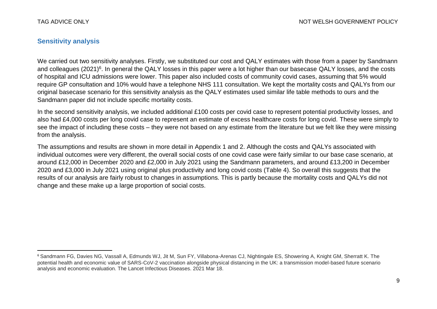$\overline{\phantom{a}}$ 

### **Sensitivity analysis**

We carried out two sensitivity analyses. Firstly, we substituted our cost and QALY estimates with those from a paper by Sandmann and colleagues (2021)<sup>6</sup>. In general the QALY losses in this paper were a lot higher than our basecase QALY losses, and the costs of hospital and ICU admissions were lower. This paper also included costs of community covid cases, assuming that 5% would require GP consultation and 10% would have a telephone NHS 111 consultation. We kept the mortality costs and QALYs from our original basecase scenario for this sensitivity analysis as the QALY estimates used similar life table methods to ours and the Sandmann paper did not include specific mortality costs.

In the second sensitivity analysis, we included additional £100 costs per covid case to represent potential productivity losses, and also had £4,000 costs per long covid case to represent an estimate of excess healthcare costs for long covid. These were simply to see the impact of including these costs – they were not based on any estimate from the literature but we felt like they were missing from the analysis.

The assumptions and results are shown in more detail in Appendix 1 and 2. Although the costs and QALYs associated with individual outcomes were very different, the overall social costs of one covid case were fairly similar to our base case scenario, at around £12,000 in December 2020 and £2,000 in July 2021 using the Sandmann parameters, and around £13,200 in December 2020 and £3,000 in July 2021 using original plus productivity and long covid costs [\(Table 4\)](#page-9-0). So overall this suggests that the results of our analysis are fairly robust to changes in assumptions. This is partly because the mortality costs and QALYs did not change and these make up a large proportion of social costs.

<sup>6</sup> Sandmann FG, Davies NG, Vassall A, Edmunds WJ, Jit M, Sun FY, Villabona-Arenas CJ, Nightingale ES, Showering A, Knight GM, Sherratt K. The potential health and economic value of SARS-CoV-2 vaccination alongside physical distancing in the UK: a transmission model-based future scenario analysis and economic evaluation. The Lancet Infectious Diseases. 2021 Mar 18.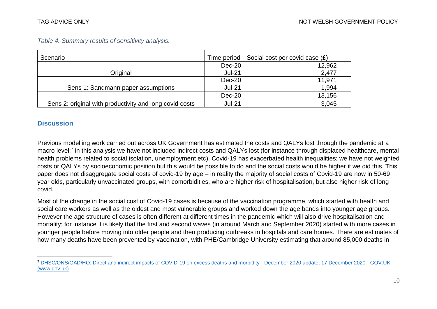| Scenario                                                |               | Time period   Social cost per covid case $(E)$ |
|---------------------------------------------------------|---------------|------------------------------------------------|
|                                                         | $Dec-20$      | 12,962                                         |
| Original                                                | <b>Jul-21</b> | 2,477                                          |
|                                                         | $Dec-20$      | 11,971                                         |
| Sens 1: Sandmann paper assumptions                      | $Jul-21$      | 1,994                                          |
|                                                         | $Dec-20$      | 13,156                                         |
| Sens 2: original with productivity and long covid costs | <b>Jul-21</b> | 3,045                                          |

<span id="page-9-0"></span>*Table 4. Summary results of sensitivity analysis.*

#### **Discussion**

Previous modelling work carried out across UK Government has estimated the costs and QALYs lost through the pandemic at a macro level;<sup>7</sup> in this analysis we have not included indirect costs and QALYs lost (for instance through displaced healthcare, mental health problems related to social isolation, unemployment etc). Covid-19 has exacerbated health inequalities; we have not weighted costs or QALYs by socioeconomic position but this would be possible to do and the social costs would be higher if we did this. This paper does not disaggregate social costs of covid-19 by age – in reality the majority of social costs of Covid-19 are now in 50-69 year olds, particularly unvaccinated groups, with comorbidities, who are higher risk of hospitalisation, but also higher risk of long covid.

Most of the change in the social cost of Covid-19 cases is because of the vaccination programme, which started with health and social care workers as well as the oldest and most vulnerable groups and worked down the age bands into younger age groups. However the age structure of cases is often different at different times in the pandemic which will also drive hospitalisation and mortality; for instance it is likely that the first and second waves (in around March and September 2020) started with more cases in younger people before moving into older people and then producing outbreaks in hospitals and care homes. There are estimates of how many deaths have been prevented by vaccination, with PHE/Cambridge University estimating that around 85,000 deaths in

 $\overline{a}$ <sup>7</sup> [DHSC/ONS/GAD/HO: Direct and indirect impacts of COVID-19 on excess deaths and morbidity -](https://www.gov.uk/government/publications/dhsconsgadho-direct-and-indirect-impacts-of-covid-19-on-excess-deaths-and-morbidity-december-2020-update-17-december-2020) December 2020 update, 17 December 2020 - GOV.UK [\(www.gov.uk\)](https://www.gov.uk/government/publications/dhsconsgadho-direct-and-indirect-impacts-of-covid-19-on-excess-deaths-and-morbidity-december-2020-update-17-december-2020)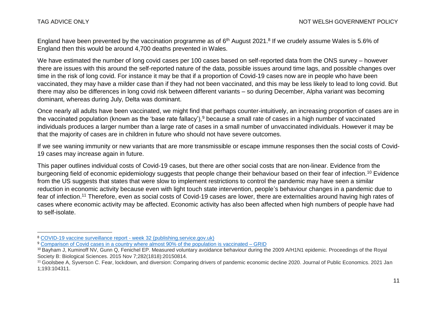$\overline{a}$ 

England have been prevented by the vaccination programme as of 6<sup>th</sup> August 2021.<sup>8</sup> If we crudely assume Wales is 5.6% of England then this would be around 4,700 deaths prevented in Wales.

We have estimated the number of long covid cases per 100 cases based on self-reported data from the ONS survey – however there are issues with this around the self-reported nature of the data, possible issues around time lags, and possible changes over time in the risk of long covid. For instance it may be that if a proportion of Covid-19 cases now are in people who have been vaccinated, they may have a milder case than if they had not been vaccinated, and this may be less likely to lead to long covid. But there may also be differences in long covid risk between different variants – so during December, Alpha variant was becoming dominant, whereas during July, Delta was dominant.

Once nearly all adults have been vaccinated, we might find that perhaps counter-intuitively, an increasing proportion of cases are in the vaccinated population (known as the 'base rate fallacy'),<sup>9</sup> because a small rate of cases in a high number of vaccinated individuals produces a larger number than a large rate of cases in a small number of unvaccinated individuals. However it may be that the majority of cases are in children in future who should not have severe outcomes.

If we see waning immunity or new variants that are more transmissible or escape immune responses then the social costs of Covid-19 cases may increase again in future.

This paper outlines individual costs of Covid-19 cases, but there are other social costs that are non-linear. Evidence from the burgeoning field of economic epidemiology suggests that people change their behaviour based on their fear of infection.<sup>10</sup> Evidence from the US suggests that states that were slow to implement restrictions to control the pandemic may have seen a similar reduction in economic activity because even with light touch state intervention, people's behaviour changes in a pandemic due to fear of infection.<sup>11</sup> Therefore, even as social costs of Covid-19 cases are lower, there are externalities around having high rates of cases where economic activity may be affected. Economic activity has also been affected when high numbers of people have had to self-isolate.

<sup>8</sup> [COVID-19 vaccine surveillance report -](https://assets.publishing.service.gov.uk/government/uploads/system/uploads/attachment_data/file/1010472/Vaccine_surveillance_report_-_week_32.pdf) week 32 (publishing.service.gov.uk)

<sup>9</sup> [Comparison of Covid cases in a country where almost 90% of the population is vaccinated –](https://grid.is/@hjalli/comparison-of-covid-cases-in-a-country-where-almost-90-of-the-population-is-vaccinated-iymoHwKnRl6BljOcABWKmg) GRID

<sup>&</sup>lt;sup>10</sup> Bayham J, Kuminoff NV, Gunn Q, Fenichel EP. Measured voluntary avoidance behaviour during the 2009 A/H1N1 epidemic. Proceedings of the Royal Society B: Biological Sciences. 2015 Nov 7;282(1818):20150814.

<sup>&</sup>lt;sup>11</sup> Goolsbee A, Syverson C. Fear, lockdown, and diversion: Comparing drivers of pandemic economic decline 2020. Journal of Public Economics. 2021 Jan 1;193:104311.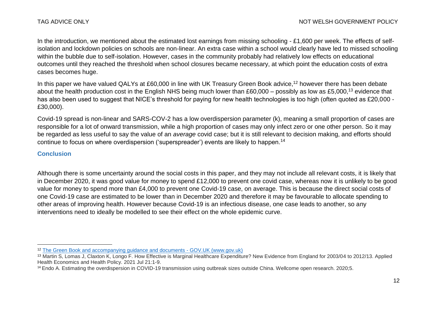In the introduction, we mentioned about the estimated lost earnings from missing schooling - £1,600 per week. The effects of selfisolation and lockdown policies on schools are non-linear. An extra case within a school would clearly have led to missed schooling within the bubble due to self-isolation. However, cases in the community probably had relatively low effects on educational outcomes until they reached the threshold when school closures became necessary, at which point the education costs of extra cases becomes huge.

In this paper we have valued QALYs at £60,000 in line with UK Treasury Green Book advice, <sup>12</sup> however there has been debate about the health production cost in the English NHS being much lower than £60,000 – possibly as low as £5,000,<sup>13</sup> evidence that has also been used to suggest that NICE's threshold for paying for new health technologies is too high (often quoted as £20,000 - £30,000).

Covid-19 spread is non-linear and SARS-COV-2 has a low overdispersion parameter (k), meaning a small proportion of cases are responsible for a lot of onward transmission, while a high proportion of cases may only infect zero or one other person. So it may be regarded as less useful to say the value of an *average* covid case; but it is still relevant to decision making, and efforts should continue to focus on where overdispersion ('superspreader') events are likely to happen.<sup>14</sup>

#### **Conclusion**

 $\overline{a}$ 

Although there is some uncertainty around the social costs in this paper, and they may not include all relevant costs, it is likely that in December 2020, it was good value for money to spend £12,000 to prevent one covid case, whereas now it is unlikely to be good value for money to spend more than £4,000 to prevent one Covid-19 case, on average. This is because the direct social costs of one Covid-19 case are estimated to be lower than in December 2020 and therefore it may be favourable to allocate spending to other areas of improving health. However because Covid-19 is an infectious disease, one case leads to another, so any interventions need to ideally be modelled to see their effect on the whole epidemic curve.

<sup>12</sup> [The Green Book and accompanying guidance and documents -](https://www.gov.uk/government/collections/the-green-book-and-accompanying-guidance-and-documents) GOV.UK (www.gov.uk)

<sup>13</sup> Martin S, Lomas J, Claxton K, Longo F. How Effective is Marginal Healthcare Expenditure? New Evidence from England for 2003/04 to 2012/13. Applied Health Economics and Health Policy. 2021 Jul 21:1-9.

<sup>&</sup>lt;sup>14</sup> Endo A. Estimating the overdispersion in COVID-19 transmission using outbreak sizes outside China. Wellcome open research. 2020;5.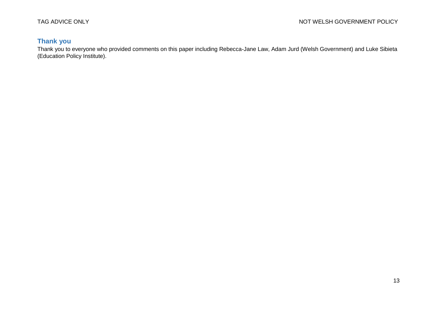## **Thank you**

Thank you to everyone who provided comments on this paper including Rebecca-Jane Law, Adam Jurd (Welsh Government) and Luke Sibieta (Education Policy Institute).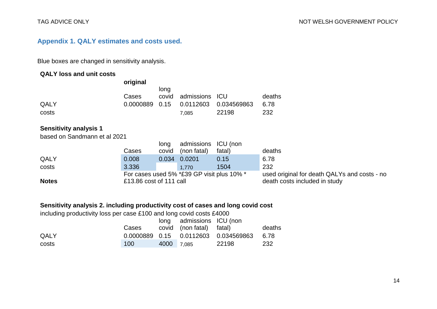### **Appendix 1. QALY estimates and costs used.**

Blue boxes are changed in sensitivity analysis.

#### **QALY loss and unit costs**

|                               | original                |                       |                                            |                                    |                                              |
|-------------------------------|-------------------------|-----------------------|--------------------------------------------|------------------------------------|----------------------------------------------|
| QALY<br>costs                 | Cases<br>0.0000889      | long<br>covid<br>0.15 | admissions<br>0.0112603<br>7,085           | <b>ICU</b><br>0.034569863<br>22198 | deaths<br>6.78<br>232                        |
| <b>Sensitivity analysis 1</b> |                         |                       |                                            |                                    |                                              |
| based on Sandmann et al 2021  |                         | long                  | admissions                                 | ICU (non                           |                                              |
|                               | Cases                   | covid                 | (non fatal)                                | fatal)                             | deaths                                       |
| QALY                          | 0.008                   | 0.034                 | 0.0201                                     | 0.15                               | 6.78                                         |
| costs                         | 3.336                   |                       | 1,770                                      | 1504                               | 232                                          |
|                               |                         |                       | For cases used 5% *£39 GP visit plus 10% * |                                    | used original for death QALYs and costs - no |
| <b>Notes</b>                  | £13.86 cost of 111 call |                       |                                            |                                    | death costs included in study                |

### **Sensitivity analysis 2. including productivity cost of cases and long covid cost**

including productivity loss per case £100 and long covid costs £4000

|       |       |            | long admissions ICU (non |                                         |        |
|-------|-------|------------|--------------------------|-----------------------------------------|--------|
|       | Cases |            | covid (non fatal) fatal) |                                         | deaths |
| QALY  |       |            |                          | 0.0000889  0.15  0.0112603  0.034569863 | 6.78   |
| costs | 100   | 4000 7.085 |                          | 22198                                   | 232    |